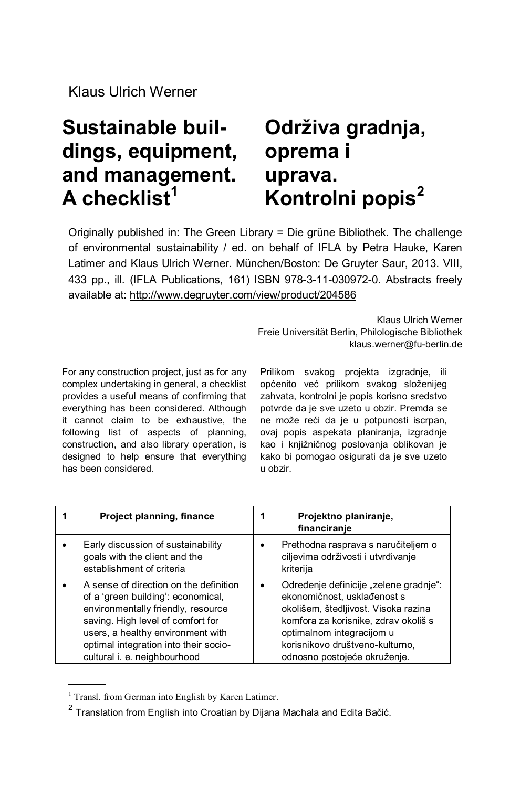## **Sustainable buildings, equipment, and management. A checklist<sup>1</sup>**

## **Održiva gradnja, oprema i uprava. Kontrolni popis<sup>2</sup>**

Originally published in: The Green Library = Die grüne Bibliothek. The challenge of environmental sustainability / ed. on behalf of IFLA by Petra Hauke, Karen Latimer and Klaus Ulrich Werner. München/Boston: De Gruyter Saur, 2013. VIII, 433 pp., ill. (IFLA Publications, 161) ISBN 978-3-11-030972-0. Abstracts freely available at:<http://www.degruyter.com/view/product/204586>

> Klaus Ulrich Werner Freie Universität Berlin, Philologische Bibliothek klaus.werner@fu-berlin.de

For any construction project, just as for any complex undertaking in general, a checklist provides a useful means of confirming that everything has been considered. Although it cannot claim to be exhaustive, the following list of aspects of planning, construction, and also library operation, is designed to help ensure that everything has been considered.

Prilikom svakog projekta izgradnje, ili općenito već prilikom svakog složenijeg zahvata, kontrolni je popis korisno sredstvo potvrde da je sve uzeto u obzir. Premda se ne može reći da je u potpunosti iscrpan, ovaj popis aspekata planiranja, izgradnje kao i knjižničnog poslovanja oblikovan je kako bi pomogao osigurati da je sve uzeto u obzir.

| Project planning, finance                                                                                                                                                                                                                                             | Projektno planiranje,<br>financiranje                                                                                                                                                                                                                 |
|-----------------------------------------------------------------------------------------------------------------------------------------------------------------------------------------------------------------------------------------------------------------------|-------------------------------------------------------------------------------------------------------------------------------------------------------------------------------------------------------------------------------------------------------|
| Early discussion of sustainability<br>goals with the client and the<br>establishment of criteria                                                                                                                                                                      | Prethodna rasprava s naručiteljem o<br>ciljevima održivosti i utvrđivanje<br>kriterija                                                                                                                                                                |
| A sense of direction on the definition<br>of a 'green building': economical,<br>environmentally friendly, resource<br>saving. High level of comfort for<br>users, a healthy environment with<br>optimal integration into their socio-<br>cultural i. e. neighbourhood | Određenje definicije "zelene gradnje":<br>ekonomičnost, usklađenost s<br>okolišem, štedljivost. Visoka razina<br>komfora za korisnike, zdrav okoliš s<br>optimalnom integracijom u<br>korisnikovo društveno-kulturno,<br>odnosno postojeće okruženje. |

<sup>&</sup>lt;sup>1</sup> Transl. from German into English by Karen Latimer.

 $^{2}$  Translation from English into Croatian by Dijana Machala and Edita Bačić.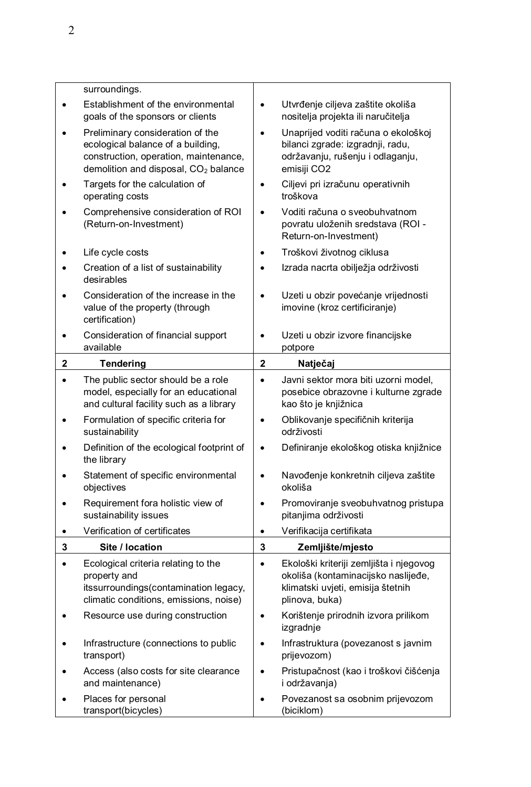|   | surroundings.                                                                                                                                                      |                         |                                                                                                                                       |
|---|--------------------------------------------------------------------------------------------------------------------------------------------------------------------|-------------------------|---------------------------------------------------------------------------------------------------------------------------------------|
|   | Establishment of the environmental<br>goals of the sponsors or clients                                                                                             | $\bullet$               | Utvrđenje ciljeva zaštite okoliša<br>nositelja projekta ili naručitelja                                                               |
|   | Preliminary consideration of the<br>ecological balance of a building,<br>construction, operation, maintenance,<br>demolition and disposal, CO <sub>2</sub> balance | $\bullet$               | Unaprijed voditi računa o ekološkoj<br>bilanci zgrade: izgradnji, radu,<br>održavanju, rušenju i odlaganju,<br>emisiji CO2            |
|   | Targets for the calculation of<br>operating costs                                                                                                                  | $\bullet$               | Ciljevi pri izračunu operativnih<br>troškova                                                                                          |
|   | Comprehensive consideration of ROI<br>(Return-on-Investment)                                                                                                       | $\bullet$               | Voditi računa o sveobuhvatnom<br>povratu uloženih sredstava (ROI -<br>Return-on-Investment)                                           |
|   | Life cycle costs                                                                                                                                                   | ٠                       | Troškovi životnog ciklusa                                                                                                             |
|   | Creation of a list of sustainability<br>desirables                                                                                                                 | ٠                       | Izrada nacrta obilježja održivosti                                                                                                    |
|   | Consideration of the increase in the<br>value of the property (through<br>certification)                                                                           | $\bullet$               | Uzeti u obzir povećanje vrijednosti<br>imovine (kroz certificiranje)                                                                  |
|   | Consideration of financial support<br>available                                                                                                                    |                         | Uzeti u obzir izvore financijske<br>potpore                                                                                           |
| 2 | <b>Tendering</b>                                                                                                                                                   | $\overline{\mathbf{2}}$ | Natječaj                                                                                                                              |
| ٠ | The public sector should be a role<br>model, especially for an educational<br>and cultural facility such as a library                                              | $\bullet$               | Javni sektor mora biti uzorni model,<br>posebice obrazovne i kulturne zgrade<br>kao što je knjižnica                                  |
|   | Formulation of specific criteria for<br>sustainability                                                                                                             | $\bullet$               | Oblikovanje specifičnih kriterija<br>održivosti                                                                                       |
|   | Definition of the ecological footprint of<br>the library                                                                                                           | $\bullet$               | Definiranje ekološkog otiska knjižnice                                                                                                |
|   | Statement of specific environmental<br>objectives                                                                                                                  | $\bullet$               | Navođenje konkretnih ciljeva zaštite<br>okoliša                                                                                       |
|   | Requirement fora holistic view of<br>sustainability issues                                                                                                         | $\bullet$               | Promoviranje sveobuhvatnog pristupa<br>pitanjima održivosti                                                                           |
| ٠ | Verification of certificates                                                                                                                                       | $\bullet$               | Verifikacija certifikata                                                                                                              |
| 3 | Site / location                                                                                                                                                    | 3                       | Zemljište/mjesto                                                                                                                      |
|   | Ecological criteria relating to the<br>property and<br>itssurroundings(contamination legacy,<br>climatic conditions, emissions, noise)                             | $\bullet$               | Ekološki kriteriji zemljišta i njegovog<br>okoliša (kontaminacijsko naslijeđe,<br>klimatski uvjeti, emisija štetnih<br>plinova, buka) |
|   | Resource use during construction                                                                                                                                   |                         | Korištenje prirodnih izvora prilikom<br>izgradnje                                                                                     |
|   | Infrastructure (connections to public                                                                                                                              | $\bullet$               | Infrastruktura (povezanost s javnim                                                                                                   |
|   | transport)                                                                                                                                                         |                         | prijevozom)                                                                                                                           |
|   | Access (also costs for site clearance<br>and maintenance)                                                                                                          | $\bullet$               | Pristupačnost (kao i troškovi čišćenja<br>i održavanja)                                                                               |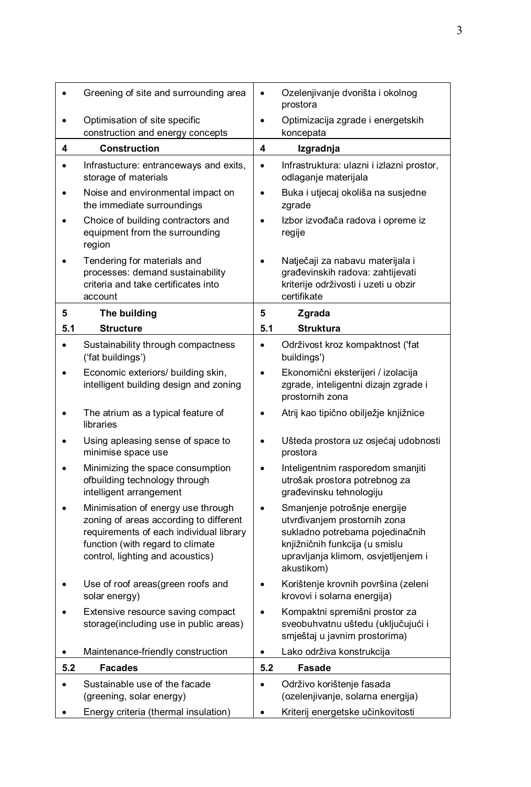| $\bullet$ | Greening of site and surrounding area                                                                                                                                                           | $\bullet$ | Ozelenjivanje dvorišta i okolnog<br>prostora                                                                                                                                           |
|-----------|-------------------------------------------------------------------------------------------------------------------------------------------------------------------------------------------------|-----------|----------------------------------------------------------------------------------------------------------------------------------------------------------------------------------------|
| $\bullet$ | Optimisation of site specific<br>construction and energy concepts                                                                                                                               | $\bullet$ | Optimizacija zgrade i energetskih<br>koncepata                                                                                                                                         |
| 4         | <b>Construction</b>                                                                                                                                                                             | 4         | Izgradnja                                                                                                                                                                              |
| $\bullet$ | Infrastucture: entranceways and exits,<br>storage of materials                                                                                                                                  | $\bullet$ | Infrastruktura: ulazni i izlazni prostor,<br>odlaganje materijala                                                                                                                      |
| ٠         | Noise and environmental impact on<br>the immediate surroundings                                                                                                                                 | $\bullet$ | Buka i utjecaj okoliša na susjedne<br>zgrade                                                                                                                                           |
| ٠         | Choice of building contractors and<br>equipment from the surrounding<br>region                                                                                                                  | ٠         | Izbor izvođača radova i opreme iz<br>regije                                                                                                                                            |
|           | Tendering for materials and<br>processes: demand sustainability<br>criteria and take certificates into<br>account                                                                               | $\bullet$ | Natječaji za nabavu materijala i<br>građevinskih radova: zahtijevati<br>kriterije održivosti i uzeti u obzir<br>certifikate                                                            |
| 5         | The building                                                                                                                                                                                    | 5         | Zgrada                                                                                                                                                                                 |
| 5.1       | <b>Structure</b>                                                                                                                                                                                | 5.1       | <b>Struktura</b>                                                                                                                                                                       |
| $\bullet$ | Sustainability through compactness<br>('fat buildings')                                                                                                                                         | $\bullet$ | Održivost kroz kompaktnost ('fat<br>buildings')                                                                                                                                        |
| ٠         | Economic exteriors/ building skin,<br>intelligent building design and zoning                                                                                                                    | ٠         | Ekonomični eksterijeri / izolacija<br>zgrade, inteligentni dizajn zgrade i<br>prostornih zona                                                                                          |
| ٠         | The atrium as a typical feature of<br>libraries                                                                                                                                                 | $\bullet$ | Atrij kao tipično obilježje knjižnice                                                                                                                                                  |
| ٠         | Using apleasing sense of space to<br>minimise space use                                                                                                                                         | $\bullet$ | Ušteda prostora uz osjećaj udobnosti<br>prostora                                                                                                                                       |
| ٠         | Minimizing the space consumption<br>ofbuilding technology through<br>intelligent arrangement                                                                                                    | $\bullet$ | Inteligentnim rasporedom smanjiti<br>utrošak prostora potrebnog za<br>građevinsku tehnologiju                                                                                          |
| ٠         | Minimisation of energy use through<br>zoning of areas according to different<br>requirements of each individual library<br>function (with regard to climate<br>control, lighting and acoustics) | $\bullet$ | Smanjenje potrošnje energije<br>utvrđivanjem prostornih zona<br>sukladno potrebama pojedinačnih<br>knjižničnih funkcija (u smislu<br>upravljanja klimom, osvjetljenjem i<br>akustikom) |
| ٠         | Use of roof areas(green roofs and<br>solar energy)                                                                                                                                              | $\bullet$ | Korištenje krovnih površina (zeleni<br>krovovi i solarna energija)                                                                                                                     |
|           | Extensive resource saving compact<br>storage(including use in public areas)                                                                                                                     | ٠         | Kompaktni spremišni prostor za<br>sveobuhvatnu uštedu (uključujući i<br>smještaj u javnim prostorima)                                                                                  |
| $\bullet$ | Maintenance-friendly construction                                                                                                                                                               | $\bullet$ | Lako održiva konstrukcija                                                                                                                                                              |
| 5.2       | <b>Facades</b>                                                                                                                                                                                  | 5.2       | Fasade                                                                                                                                                                                 |
| ٠         | Sustainable use of the facade<br>(greening, solar energy)                                                                                                                                       | $\bullet$ | Održivo korištenje fasada<br>(ozelenjivanje, solarna energija)                                                                                                                         |
| ٠         | Energy criteria (thermal insulation)                                                                                                                                                            |           | Kriterij energetske učinkovitosti                                                                                                                                                      |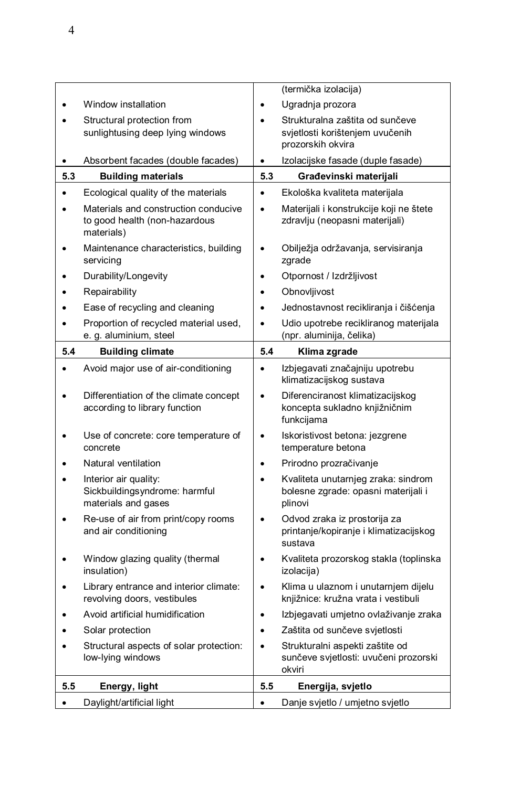|           |                                                                                     |           | (termička izolacija)                                                                    |
|-----------|-------------------------------------------------------------------------------------|-----------|-----------------------------------------------------------------------------------------|
|           | Window installation                                                                 |           | Ugradnja prozora                                                                        |
|           | Structural protection from<br>sunlightusing deep lying windows                      |           | Strukturalna zaštita od sunčeve<br>svjetlosti korištenjem uvučenih<br>prozorskih okvira |
| $\bullet$ | Absorbent facades (double facades)                                                  | $\bullet$ | Izolacijske fasade (duple fasade)                                                       |
| 5.3       | <b>Building materials</b>                                                           | 5.3       | Građevinski materijali                                                                  |
| ٠         | Ecological quality of the materials                                                 | $\bullet$ | Ekološka kvaliteta materijala                                                           |
| $\bullet$ | Materials and construction conducive<br>to good health (non-hazardous<br>materials) | $\bullet$ | Materijali i konstrukcije koji ne štete<br>zdravlju (neopasni materijali)               |
|           | Maintenance characteristics, building<br>servicing                                  | $\bullet$ | Obilježja održavanja, servisiranja<br>zgrade                                            |
|           | Durability/Longevity                                                                | $\bullet$ | Otpornost / Izdržljivost                                                                |
|           | Repairability                                                                       | $\bullet$ | Obnovljivost                                                                            |
|           | Ease of recycling and cleaning                                                      | $\bullet$ | Jednostavnost recikliranja i čišćenja                                                   |
| $\bullet$ | Proportion of recycled material used,<br>e. g. aluminium, steel                     | $\bullet$ | Udio upotrebe recikliranog materijala<br>(npr. aluminija, čelika)                       |
| 5.4       | <b>Building climate</b>                                                             | 5.4       | Klima zgrade                                                                            |
|           | Avoid major use of air-conditioning                                                 | $\bullet$ | Izbjegavati značajniju upotrebu<br>klimatizacijskog sustava                             |
| $\bullet$ | Differentiation of the climate concept<br>according to library function             | $\bullet$ | Diferenciranost klimatizacijskog<br>koncepta sukladno knjižničnim<br>funkcijama         |
|           |                                                                                     |           |                                                                                         |
|           | Use of concrete: core temperature of<br>concrete                                    | $\bullet$ | Iskoristivost betona: jezgrene<br>temperature betona                                    |
|           | Natural ventilation                                                                 | $\bullet$ | Prirodno prozračivanje                                                                  |
| $\bullet$ | Interior air quality:<br>Sickbuildingsyndrome: harmful<br>materials and gases       | $\bullet$ | Kvaliteta unutarnjeg zraka: sindrom<br>bolesne zgrade: opasni materijali i<br>plinovi   |
|           | Re-use of air from print/copy rooms<br>and air conditioning                         | $\bullet$ | Odvod zraka iz prostorija za<br>printanje/kopiranje i klimatizacijskog<br>sustava       |
|           | Window glazing quality (thermal<br>insulation)                                      | $\bullet$ | Kvaliteta prozorskog stakla (toplinska<br>izolacija)                                    |
|           | Library entrance and interior climate:<br>revolving doors, vestibules               | $\bullet$ | Klima u ulaznom i unutarnjem dijelu<br>knjižnice: kružna vrata i vestibuli              |
|           | Avoid artificial humidification                                                     | $\bullet$ | Izbjegavati umjetno ovlaživanje zraka                                                   |
|           | Solar protection                                                                    | $\bullet$ | Zaštita od sunčeve svjetlosti                                                           |
| $\bullet$ | Structural aspects of solar protection:<br>low-lying windows                        | $\bullet$ | Strukturalni aspekti zaštite od<br>sunčeve svjetlosti: uvučeni prozorski<br>okviri      |
| 5.5       | Energy, light                                                                       | 5.5       | Energija, svjetlo                                                                       |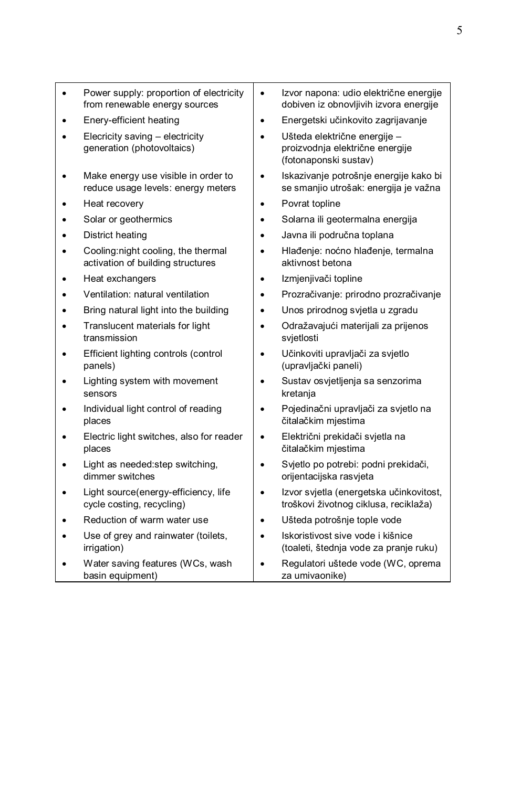| Power supply: proportion of electricity<br>from renewable energy sources  | $\bullet$ | Izvor napona: udio električne energije<br>dobiven iz obnovljivih izvora energije         |
|---------------------------------------------------------------------------|-----------|------------------------------------------------------------------------------------------|
| Enery-efficient heating                                                   | $\bullet$ | Energetski učinkovito zagrijavanje                                                       |
| Elecricity saving - electricity<br>generation (photovoltaics)             | $\bullet$ | Ušteda električne energije -<br>proizvodnja električne energije<br>(fotonaponski sustav) |
| Make energy use visible in order to<br>reduce usage levels: energy meters | $\bullet$ | Iskazivanje potrošnje energije kako bi<br>se smanjio utrošak: energija je važna          |
| Heat recovery                                                             | $\bullet$ | Povrat topline                                                                           |
| Solar or geothermics                                                      | $\bullet$ | Solarna ili geotermalna energija                                                         |
| District heating                                                          |           | Javna ili područna toplana                                                               |
| Cooling:night cooling, the thermal<br>activation of building structures   |           | Hlađenje: noćno hlađenje, termalna<br>aktivnost betona                                   |
| Heat exchangers                                                           | $\bullet$ | Izmjenjivači topline                                                                     |
| Ventilation: natural ventilation                                          | ٠         | Prozračivanje: prirodno prozračivanje                                                    |
| Bring natural light into the building                                     | $\bullet$ | Unos prirodnog svjetla u zgradu                                                          |
| Translucent materials for light<br>transmission                           | $\bullet$ | Odražavajući materijali za prijenos<br>svjetlosti                                        |
| Efficient lighting controls (control<br>panels)                           | $\bullet$ | Učinkoviti upravljači za svjetlo<br>(upravljački paneli)                                 |
| Lighting system with movement<br>sensors                                  | $\bullet$ | Sustav osvjetljenja sa senzorima<br>kretanja                                             |
| Individual light control of reading<br>places                             | $\bullet$ | Pojedinačni upravljači za svjetlo na<br>čitalačkim mjestima                              |
| Electric light switches, also for reader<br>places                        |           | Električni prekidači svjetla na<br>čitalačkim mjestima                                   |
| Light as needed: step switching,<br>dimmer switches                       |           | Svjetlo po potrebi: podni prekidači,<br>orijentacijska rasvjeta                          |
| Light source(energy-efficiency, life<br>cycle costing, recycling)         | $\bullet$ | Izvor svjetla (energetska učinkovitost,<br>troškovi životnog ciklusa, reciklaža)         |
| Reduction of warm water use                                               | $\bullet$ | Ušteda potrošnje tople vode                                                              |
| Use of grey and rainwater (toilets,<br>irrigation)                        |           | Iskoristivost sive vode i kišnice<br>(toaleti, štednja vode za pranje ruku)              |
| Water saving features (WCs, wash<br>basin equipment)                      |           | Regulatori uštede vode (WC, oprema<br>za umivaonike)                                     |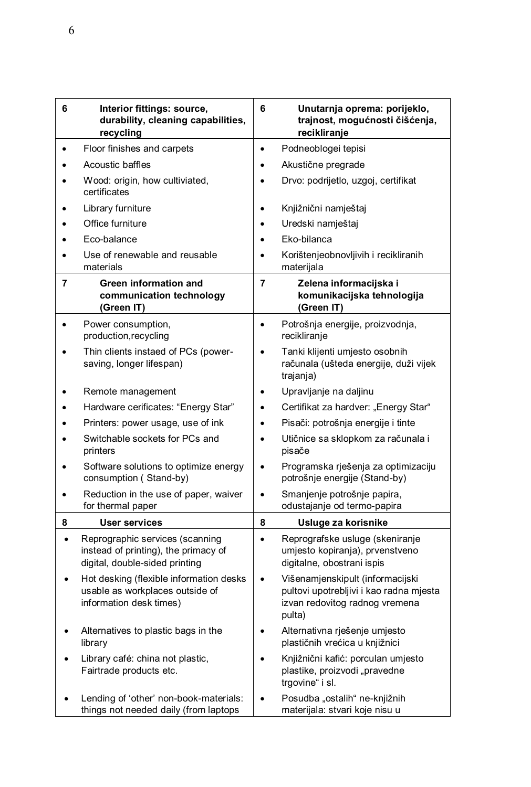| 6         | Interior fittings: source,<br>durability, cleaning capabilities,<br>recycling                             | 6              | Unutarnja oprema: porijeklo,<br>trajnost, mogućnosti čišćenja,<br>recikliranje                                          |
|-----------|-----------------------------------------------------------------------------------------------------------|----------------|-------------------------------------------------------------------------------------------------------------------------|
| $\bullet$ | Floor finishes and carpets                                                                                | $\bullet$      | Podneoblogei tepisi                                                                                                     |
| $\bullet$ | Acoustic baffles                                                                                          | $\bullet$      | Akustične pregrade                                                                                                      |
|           | Wood: origin, how cultiviated,<br>certificates                                                            | $\bullet$      | Drvo: podrijetlo, uzgoj, certifikat                                                                                     |
|           | Library furniture                                                                                         | $\bullet$      | Knjižnični namještaj                                                                                                    |
| $\bullet$ | Office furniture                                                                                          | $\bullet$      | Uredski namještaj                                                                                                       |
|           | Eco-balance                                                                                               |                | Eko-bilanca                                                                                                             |
|           | Use of renewable and reusable<br>materials                                                                |                | Korištenjeobnovljivih i recikliranih<br>materijala                                                                      |
| 7         | Green information and<br>communication technology<br>(Green IT)                                           | $\overline{7}$ | Zelena informacijska i<br>komunikacijska tehnologija<br>(Green IT)                                                      |
| $\bullet$ | Power consumption,<br>production, recycling                                                               | $\bullet$      | Potrošnja energije, proizvodnja,<br>recikliranje                                                                        |
|           | Thin clients instaed of PCs (power-<br>saving, longer lifespan)                                           | $\bullet$      | Tanki klijenti umjesto osobnih<br>računala (ušteda energije, duži vijek<br>trajanja)                                    |
|           | Remote management                                                                                         | $\bullet$      | Upravljanje na daljinu                                                                                                  |
|           | Hardware cerificates: "Energy Star"                                                                       | $\bullet$      | Certifikat za hardver: "Energy Star"                                                                                    |
| $\bullet$ | Printers: power usage, use of ink                                                                         | $\bullet$      | Pisači: potrošnja energije i tinte                                                                                      |
|           | Switchable sockets for PCs and<br>printers                                                                | $\bullet$      | Utičnice sa sklopkom za računala i<br>pisače                                                                            |
|           | Software solutions to optimize energy<br>consumption (Stand-by)                                           | $\bullet$      | Programska rješenja za optimizaciju<br>potrošnje energije (Stand-by)                                                    |
|           | Reduction in the use of paper, waiver<br>for thermal paper                                                | $\bullet$      | Smanjenje potrošnje papira,<br>odustajanje od termo-papira                                                              |
| 8         | <b>User services</b>                                                                                      | 8              | Usluge za korisnike                                                                                                     |
| $\bullet$ | Reprographic services (scanning<br>instead of printing), the primacy of<br>digital, double-sided printing | $\bullet$      | Reprografske usluge (skeniranje<br>umjesto kopiranja), prvenstveno<br>digitalne, obostrani ispis                        |
|           | Hot desking (flexible information desks<br>usable as workplaces outside of<br>information desk times)     | $\bullet$      | Višenamjenskipult (informacijski<br>pultovi upotrebljivi i kao radna mjesta<br>izvan redovitog radnog vremena<br>pulta) |
|           | Alternatives to plastic bags in the<br>library                                                            | $\bullet$      | Alternativna rješenje umjesto<br>plastičnih vrećica u knjižnici                                                         |
|           | Library café: china not plastic,<br>Fairtrade products etc.                                               |                | Knjižnični kafić: porculan umjesto<br>plastike, proizvodi "pravedne<br>trgovine" i sl.                                  |
|           | Lending of 'other' non-book-materials:<br>things not needed daily (from laptops                           | $\bullet$      | Posudba "ostalih" ne-knjižnih<br>materijala: stvari koje nisu u                                                         |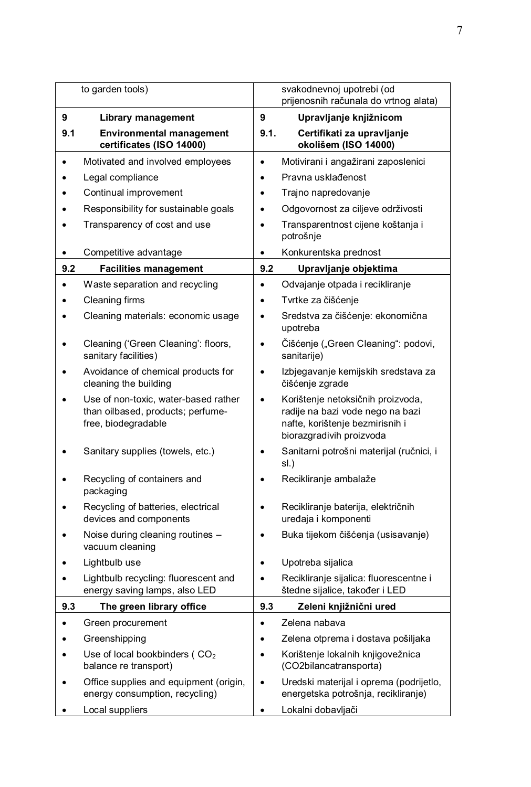|           | to garden tools)                                                                                 |           | svakodnevnoj upotrebi (od<br>prijenosnih računala do vrtnog alata)                                                                   |
|-----------|--------------------------------------------------------------------------------------------------|-----------|--------------------------------------------------------------------------------------------------------------------------------------|
| 9         | <b>Library management</b>                                                                        | 9         | Upravljanje knjižnicom                                                                                                               |
| 9.1       | <b>Environmental management</b><br>certificates (ISO 14000)                                      | 9.1.      | Certifikati za upravljanje<br>okolišem (ISO 14000)                                                                                   |
| $\bullet$ | Motivated and involved employees                                                                 | $\bullet$ | Motivirani i angažirani zaposlenici                                                                                                  |
|           | Legal compliance                                                                                 | $\bullet$ | Pravna usklađenost                                                                                                                   |
|           | Continual improvement                                                                            | $\bullet$ | Trajno napredovanje                                                                                                                  |
|           | Responsibility for sustainable goals                                                             | $\bullet$ | Odgovornost za ciljeve održivosti                                                                                                    |
|           | Transparency of cost and use                                                                     | $\bullet$ | Transparentnost cijene koštanja i<br>potrošnje                                                                                       |
| ٠         | Competitive advantage                                                                            | $\bullet$ | Konkurentska prednost                                                                                                                |
| 9.2       | <b>Facilities management</b>                                                                     | 9.2       | Upravljanje objektima                                                                                                                |
| $\bullet$ | Waste separation and recycling                                                                   | $\bullet$ | Odvajanje otpada i recikliranje                                                                                                      |
| ٠         | Cleaning firms                                                                                   | $\bullet$ | Tvrtke za čišćenje                                                                                                                   |
|           | Cleaning materials: economic usage                                                               | $\bullet$ | Sredstva za čišćenje: ekonomična<br>upotreba                                                                                         |
|           | Cleaning ('Green Cleaning': floors,<br>sanitary facilities)                                      | $\bullet$ | Čišćenje ("Green Cleaning": podovi,<br>sanitarije)                                                                                   |
|           | Avoidance of chemical products for<br>cleaning the building                                      | ٠         | Izbjegavanje kemijskih sredstava za<br>čišćenje zgrade                                                                               |
|           | Use of non-toxic, water-based rather<br>than oilbased, products; perfume-<br>free, biodegradable | $\bullet$ | Korištenje netoksičnih proizvoda,<br>radije na bazi vode nego na bazi<br>nafte, korištenje bezmirisnih i<br>biorazgradivih proizvoda |
|           | Sanitary supplies (towels, etc.)                                                                 | ٠         | Sanitarni potrošni materijal (ručnici, i<br>sl.)                                                                                     |
|           | Recycling of containers and<br>packaging                                                         | $\bullet$ | Recikliranje ambalaže                                                                                                                |
|           | Recycling of batteries, electrical<br>devices and components                                     | $\bullet$ | Recikliranje baterija, električnih<br>uređaja i komponenti                                                                           |
|           | Noise during cleaning routines -<br>vacuum cleaning                                              | $\bullet$ | Buka tijekom čišćenja (usisavanje)                                                                                                   |
|           | Lightbulb use                                                                                    | $\bullet$ | Upotreba sijalica                                                                                                                    |
| $\bullet$ | Lightbulb recycling: fluorescent and<br>energy saving lamps, also LED                            | $\bullet$ | Recikliranje sijalica: fluorescentne i<br>štedne sijalice, također i LED                                                             |
| 9.3       | The green library office                                                                         | 9.3       | Zeleni knjižnični ured                                                                                                               |
|           | Green procurement                                                                                |           | Zelena nabava                                                                                                                        |
|           | Greenshipping                                                                                    |           | Zelena otprema i dostava pošiljaka                                                                                                   |
|           | Use of local bookbinders (CO <sub>2</sub><br>balance re transport)                               | $\bullet$ | Korištenje lokalnih knjigovežnica<br>(CO2bilancatransporta)                                                                          |
|           | Office supplies and equipment (origin,<br>energy consumption, recycling)                         | $\bullet$ | Uredski materijal i oprema (podrijetlo,<br>energetska potrošnja, recikliranje)                                                       |
| ٠         | Local suppliers                                                                                  | ٠         | Lokalni dobavljači                                                                                                                   |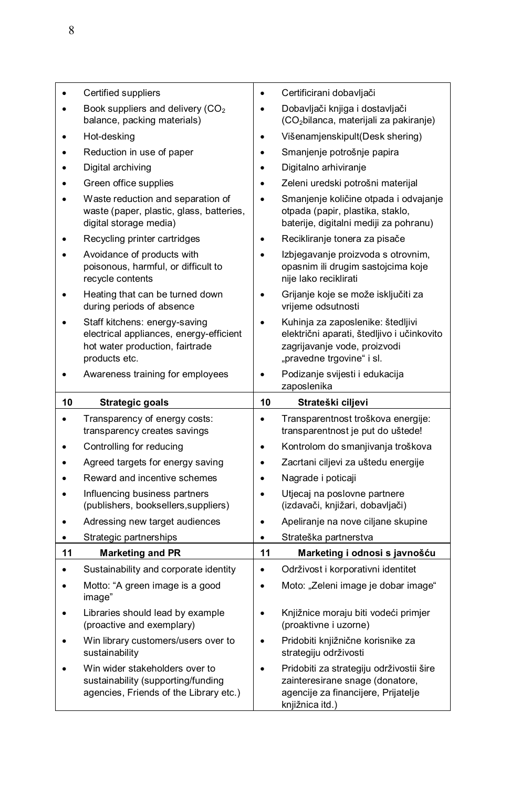|    | Certified suppliers                                                                                                          | $\bullet$ | Certificirani dobavljači                                                                                                                     |
|----|------------------------------------------------------------------------------------------------------------------------------|-----------|----------------------------------------------------------------------------------------------------------------------------------------------|
|    | Book suppliers and delivery $(CO2)$<br>balance, packing materials)                                                           | $\bullet$ | Dobavljači knjiga i dostavljači<br>(CO <sub>2</sub> bilanca, materijali za pakiranje)                                                        |
|    | Hot-desking                                                                                                                  | $\bullet$ | Višenamjenskipult(Desk shering)                                                                                                              |
|    | Reduction in use of paper                                                                                                    | $\bullet$ | Smanjenje potrošnje papira                                                                                                                   |
|    | Digital archiving                                                                                                            | $\bullet$ | Digitalno arhiviranje                                                                                                                        |
|    | Green office supplies                                                                                                        | $\bullet$ | Zeleni uredski potrošni materijal                                                                                                            |
|    | Waste reduction and separation of<br>waste (paper, plastic, glass, batteries,<br>digital storage media)                      | $\bullet$ | Smanjenje količine otpada i odvajanje<br>otpada (papir, plastika, staklo,<br>baterije, digitalni mediji za pohranu)                          |
|    | Recycling printer cartridges                                                                                                 | $\bullet$ | Recikliranje tonera za pisače                                                                                                                |
|    | Avoidance of products with<br>poisonous, harmful, or difficult to<br>recycle contents                                        | $\bullet$ | Izbjegavanje proizvoda s otrovnim,<br>opasnim ili drugim sastojcima koje<br>nije lako reciklirati                                            |
|    | Heating that can be turned down<br>during periods of absence                                                                 |           | Grijanje koje se može isključiti za<br>vrijeme odsutnosti                                                                                    |
|    | Staff kitchens: energy-saving<br>electrical appliances, energy-efficient<br>hot water production, fairtrade<br>products etc. | $\bullet$ | Kuhinja za zaposlenike: štedljivi<br>električni aparati, štedljivo i učinkovito<br>zagrijavanje vode, proizvodi<br>"pravedne trgovine" i sl. |
|    | Awareness training for employees                                                                                             | $\bullet$ | Podizanje svijesti i edukacija<br>zaposlenika                                                                                                |
|    |                                                                                                                              | 10        |                                                                                                                                              |
| 10 | <b>Strategic goals</b>                                                                                                       |           | Strateški ciljevi                                                                                                                            |
|    | Transparency of energy costs:<br>transparency creates savings                                                                | $\bullet$ | Transparentnost troškova energije:<br>transparentnost je put do uštede!                                                                      |
|    | Controlling for reducing                                                                                                     | $\bullet$ | Kontrolom do smanjivanja troškova                                                                                                            |
|    | Agreed targets for energy saving                                                                                             | $\bullet$ | Zacrtani ciljevi za uštedu energije                                                                                                          |
|    | Reward and incentive schemes                                                                                                 | $\bullet$ | Nagrade i poticaji                                                                                                                           |
|    | Influencing business partners<br>(publishers, booksellers, suppliers)                                                        | $\bullet$ | Utjecaj na poslovne partnere<br>(izdavači, knjižari, dobavljači)                                                                             |
|    | Adressing new target audiences                                                                                               | $\bullet$ | Apeliranje na nove ciljane skupine                                                                                                           |
| ٠  | Strategic partnerships                                                                                                       | ٠         | Strateška partnerstva                                                                                                                        |
| 11 | <b>Marketing and PR</b>                                                                                                      | 11        | Marketing i odnosi s javnošću                                                                                                                |
|    | Sustainability and corporate identity                                                                                        | $\bullet$ | Održivost i korporativni identitet                                                                                                           |
|    | Motto: "A green image is a good<br>image"                                                                                    | $\bullet$ | Moto: "Zeleni image je dobar image"                                                                                                          |
|    | Libraries should lead by example<br>(proactive and exemplary)                                                                | $\bullet$ | Knjižnice moraju biti vodeći primjer<br>(proaktivne i uzorne)                                                                                |
|    | Win library customers/users over to<br>sustainability                                                                        | $\bullet$ | Pridobiti knjižnične korisnike za<br>strategiju održivosti                                                                                   |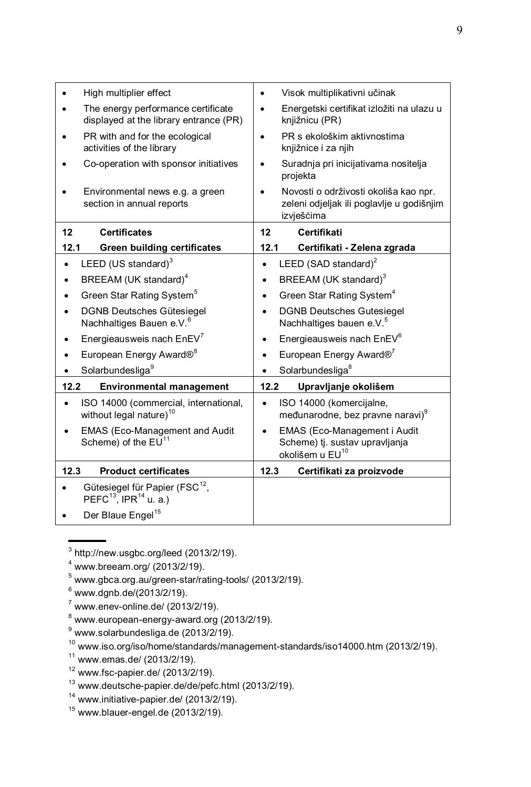| High multiplier effect                                                                                   | Visok multiplikativni učinak<br>$\bullet$                                                        |
|----------------------------------------------------------------------------------------------------------|--------------------------------------------------------------------------------------------------|
| The energy performance certificate<br>displayed at the library entrance (PR)                             | Energetski certifikat izložiti na ulazu u<br>knjižnicu (PR)                                      |
| PR with and for the ecological<br>activities of the library                                              | PR s ekološkim aktivnostima<br>knjižnice i za njih                                               |
| Co-operation with sponsor initiatives                                                                    | Suradnja pri inicijativama nositelja<br>٠<br>projekta                                            |
| Environmental news e.g. a green<br>section in annual reports                                             | Novosti o održivosti okoliša kao npr.<br>zeleni odjeljak ili poglavlje u godišnjim<br>izvješćima |
| 12<br><b>Certificates</b>                                                                                | 12<br>Certifikati                                                                                |
| 12.1<br><b>Green building certificates</b>                                                               | 12.1<br>Certifikati - Zelena zgrada                                                              |
| LEED (US standard) <sup>3</sup><br>$\bullet$                                                             | LEED (SAD standard) <sup>2</sup><br>$\bullet$                                                    |
| BREEAM (UK standard) <sup>4</sup>                                                                        | BREEAM (UK standard) <sup>3</sup><br>$\bullet$                                                   |
| Green Star Rating System <sup>5</sup>                                                                    | Green Star Rating System <sup>4</sup>                                                            |
| <b>DGNB Deutsches Gütesiegel</b><br>Nachhaltiges Bauen e.V. <sup>6</sup>                                 | <b>DGNB Deutsches Gutesiegel</b><br>$\bullet$<br>Nachhaltiges bauen e.V. <sup>5</sup>            |
| Energieausweis nach EnEV <sup>7</sup>                                                                    | Energieausweis nach EnEV <sup>6</sup>                                                            |
| European Energy Award® <sup>8</sup>                                                                      | European Energy Award® <sup>7</sup>                                                              |
| Solarbundesliga <sup>9</sup><br>$\bullet$                                                                | Solarbundesliga <sup>8</sup><br>$\bullet$                                                        |
| 12.2<br><b>Environmental management</b>                                                                  | 12.2<br>Upravljanje okolišem                                                                     |
| ISO 14000 (commercial, international,<br>without legal nature) <sup>10</sup>                             | ISO 14000 (komercijalne,<br>$\bullet$<br>međunarodne, bez pravne naravi)                         |
| EMAS (Eco-Management and Audit<br>Scheme) of the $EU11$                                                  | EMAS (Eco-Management i Audit<br>Scheme) tj. sustav upravljanja<br>okolišem u EU <sup>10</sup>    |
| 12.3<br><b>Product certificates</b>                                                                      | 12.3<br>Certifikati za proizvode                                                                 |
| Gütesiegel für Papier (FSC <sup>12</sup> ,<br>PEFC <sup>13</sup> , IPR <sup>14</sup> u. a.)<br>$\bullet$ |                                                                                                  |
| Der Blaue Engel <sup>15</sup>                                                                            |                                                                                                  |

 $3$  http://new.usgbc.org/leed (2013/2/19).

 $^9$  [www.solarbundesliga.de](http://www.solarbundesliga.de/) (2013/2/19).

- $11$  www.emas.de/ (2013/2/19).
- $12$  [www.fsc-papier.de/](http://www.fsc-papier.de/) (2013/2/19).
- <sup>13</sup> [www.deutsche-papier.de/de/pefc.html](http://www.deutsche-papier.de/de/pefc.html) (2013/2/19)*.*
- <sup>14</sup> www.initiative-papier.de/ (2013/2/19).
- <sup>15</sup> [www.blauer-engel.de](http://www.blauer-engel.de/) (2013/2/19)*.*

<sup>4</sup> www.breeam.org/ (2013/2/19).

 $5$  www.gbca.org.au/green-star/rating-tools/ (2013/2/19).

 $6$  www.dgnb.de/(2013/2/19).

 $\frac{3}{7}$  www.enev-online.de/ (2013/2/19).

 $8$  www.european-energy-award.org (2013/2/19).

<sup>10</sup> www.iso.org/iso/home/standards/management-standards/iso14000.htm (2013/2/19).